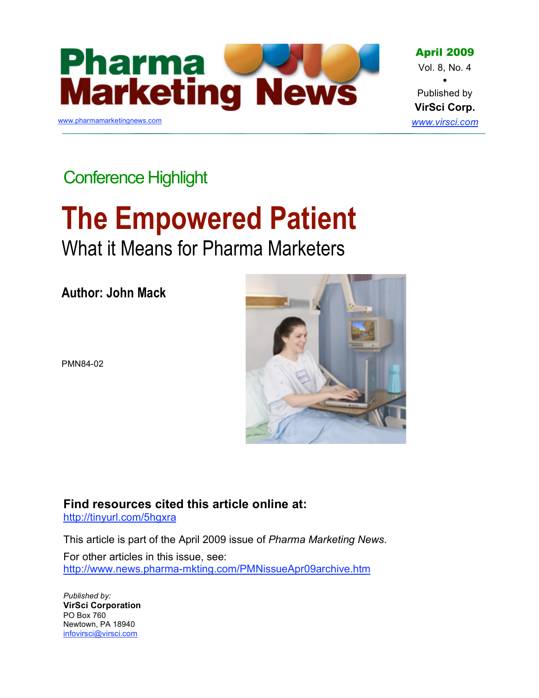

April 2009 Vol. 8, No. 4 • Published by **VirSci Corp.** *www.virsci.com*

Conference Highlight

# **The Empowered Patient**

What it Means for Pharma Marketers

**Author: John Mack**



PMN84-02

**Find resources cited this article online at:**

http://tinyurl.com/5hgxra

This article is part of the April 2009 issue of *Pharma Marketing News*.

For other articles in this issue, see: http://www.news.pharma-mkting.com/PMNissueApr09archive.htm

*Published by:* **VirSci Corporation** PO Box 760 Newtown, PA 18940 infovirsci@virsci.com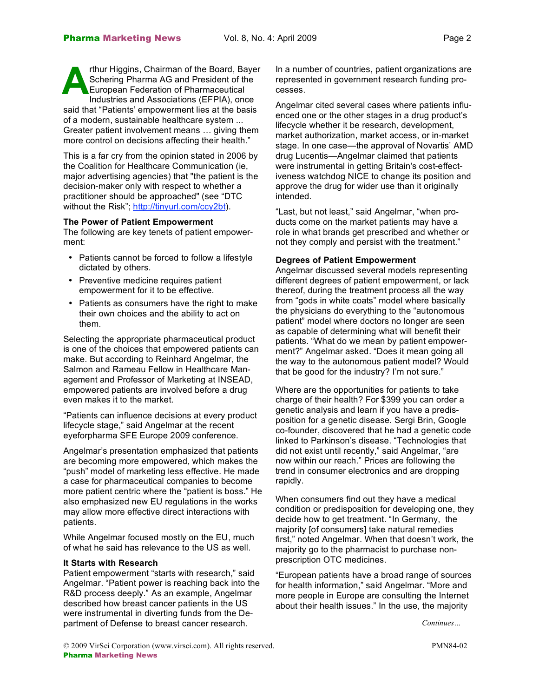rthur Higgins, Chairman of the Board, Bayer Schering Pharma AG and President of the European Federation of Pharmaceutical Industries and Associations (EFPIA), once said that "Patients' empowerment lies at the basis of a modern, sustainable healthcare system ... Greater patient involvement means … giving them more control on decisions affecting their health." **A**

This is a far cry from the opinion stated in 2006 by the Coalition for Healthcare Communication (ie, major advertising agencies) that "the patient is the decision-maker only with respect to whether a practitioner should be approached" (see "DTC without the Risk"; http://tinyurl.com/ccy2bt).

#### **The Power of Patient Empowerment**

The following are key tenets of patient empowerment:

- Patients cannot be forced to follow a lifestyle dictated by others.
- Preventive medicine requires patient empowerment for it to be effective.
- Patients as consumers have the right to make their own choices and the ability to act on them.

Selecting the appropriate pharmaceutical product is one of the choices that empowered patients can make. But according to Reinhard Angelmar, the Salmon and Rameau Fellow in Healthcare Management and Professor of Marketing at INSEAD, empowered patients are involved before a drug even makes it to the market.

"Patients can influence decisions at every product lifecycle stage," said Angelmar at the recent eyeforpharma SFE Europe 2009 conference.

Angelmar's presentation emphasized that patients are becoming more empowered, which makes the "push" model of marketing less effective. He made a case for pharmaceutical companies to become more patient centric where the "patient is boss." He also emphasized new EU regulations in the works may allow more effective direct interactions with patients.

While Angelmar focused mostly on the EU, much of what he said has relevance to the US as well.

# **It Starts with Research**

Patient empowerment "starts with research," said Angelmar. "Patient power is reaching back into the R&D process deeply." As an example, Angelmar described how breast cancer patients in the US were instrumental in diverting funds from the Department of Defense to breast cancer research.

In a number of countries, patient organizations are represented in government research funding processes.

Angelmar cited several cases where patients influenced one or the other stages in a drug product's lifecycle whether it be research, development, market authorization, market access, or in-market stage. In one case—the approval of Novartis' AMD drug Lucentis—Angelmar claimed that patients were instrumental in getting Britain's cost-effectiveness watchdog NICE to change its position and approve the drug for wider use than it originally intended.

"Last, but not least," said Angelmar, "when products come on the market patients may have a role in what brands get prescribed and whether or not they comply and persist with the treatment."

#### **Degrees of Patient Empowerment**

Angelmar discussed several models representing different degrees of patient empowerment, or lack thereof, during the treatment process all the way from "gods in white coats" model where basically the physicians do everything to the "autonomous patient" model where doctors no longer are seen as capable of determining what will benefit their patients. "What do we mean by patient empowerment?" Angelmar asked. "Does it mean going all the way to the autonomous patient model? Would that be good for the industry? I'm not sure."

Where are the opportunities for patients to take charge of their health? For \$399 you can order a genetic analysis and learn if you have a predisposition for a genetic disease. Sergi Brin, Google co-founder, discovered that he had a genetic code linked to Parkinson's disease. "Technologies that did not exist until recently," said Angelmar, "are now within our reach." Prices are following the trend in consumer electronics and are dropping rapidly.

When consumers find out they have a medical condition or predisposition for developing one, they decide how to get treatment. "In Germany, the majority [of consumers] take natural remedies first," noted Angelmar. When that doesn't work, the majority go to the pharmacist to purchase nonprescription OTC medicines.

"European patients have a broad range of sources for health information," said Angelmar. "More and more people in Europe are consulting the Internet about their health issues." In the use, the majority

*Continues…*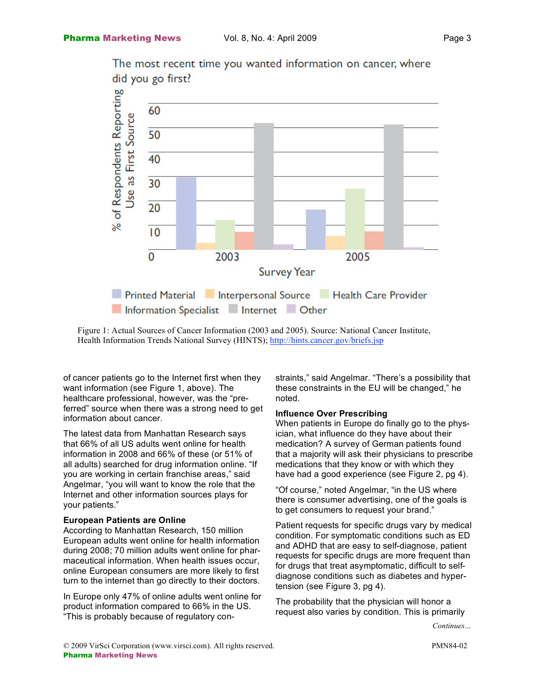

The most recent time you wanted information on cancer, where did you go first?

Figure 1: Actual Sources of Cancer Information (2003 and 2005). Source: National Cancer Institute, Health Information Trends National Survey (HINTS); http://hints.cancer.gov/briefs.jsp

of cancer patients go to the Internet first when they want information (see Figure 1, above). The healthcare professional, however, was the "preferred" source when there was a strong need to get information about cancer.

The latest data from Manhattan Research says that 66% of all US adults went online for health information in 2008 and 66% of these (or 51% of all adults) searched for drug information online. "If you are working in certain franchise areas," said Angelmar, "you will want to know the role that the Internet and other information sources plays for your patients."

#### **European Patients are Online**

According to Manhattan Research, 150 million European adults went online for health information during 2008; 70 million adults went online for pharmaceutical information. When health issues occur, online European consumers are more likely to first turn to the internet than go directly to their doctors.

In Europe only 47% of online adults went online for product information compared to 66% in the US. "This is probably because of regulatory constraints," said Angelmar. "There's a possibility that these constraints in the EU will be changed," he noted.

#### **Influence Over Prescribing**

When patients in Europe do finally go to the physician, what influence do they have about their medication? A survey of German patients found that a majority will ask their physicians to prescribe medications that they know or with which they have had a good experience (see Figure 2, pg 4).

"Of course," noted Angelmar, "in the US where there is consumer advertising, one of the goals is to get consumers to request your brand."

Patient requests for specific drugs vary by medical condition. For symptomatic conditions such as ED and ADHD that are easy to self-diagnose, patient requests for specific drugs are more frequent than for drugs that treat asymptomatic, difficult to selfdiagnose conditions such as diabetes and hypertension (see Figure 3, pg 4).

The probability that the physician will honor a request also varies by condition. This is primarily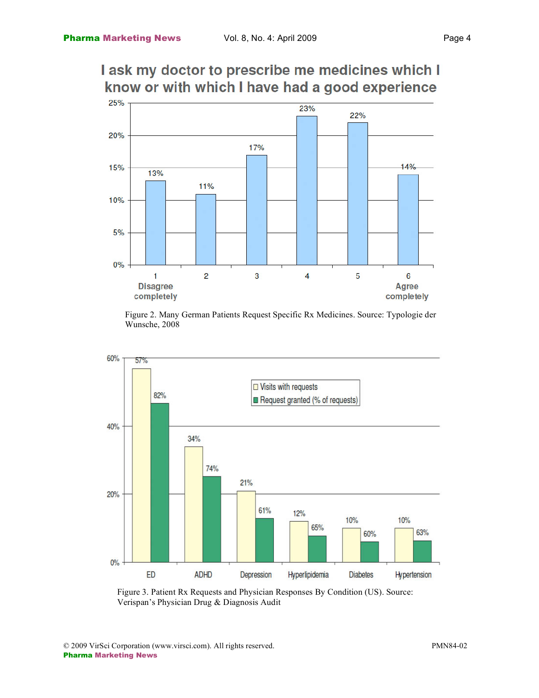# I ask my doctor to prescribe me medicines which I know or with which I have had a good experience



Figure 2. Many German Patients Request Specific Rx Medicines. Source: Typologie der Wunsche, 2008



Figure 3. Patient Rx Requests and Physician Responses By Condition (US). Source: Verispan's Physician Drug & Diagnosis Audit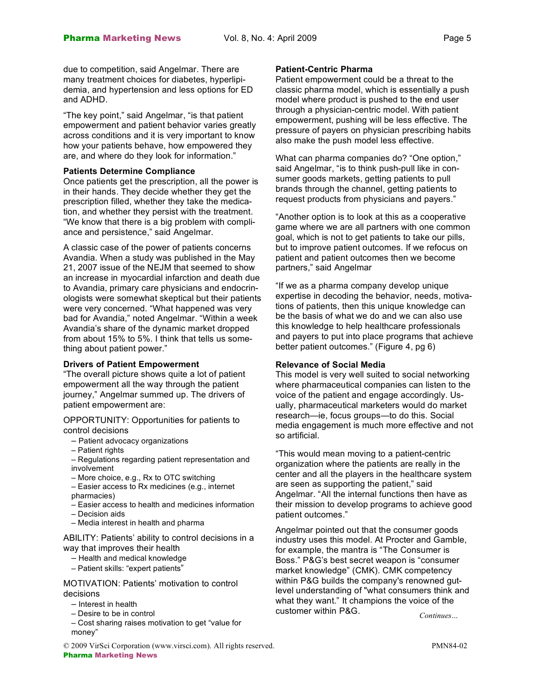due to competition, said Angelmar. There are many treatment choices for diabetes, hyperlipidemia, and hypertension and less options for ED and ADHD.

"The key point," said Angelmar, "is that patient empowerment and patient behavior varies greatly across conditions and it is very important to know how your patients behave, how empowered they are, and where do they look for information."

# **Patients Determine Compliance**

Once patients get the prescription, all the power is in their hands. They decide whether they get the prescription filled, whether they take the medication, and whether they persist with the treatment. "We know that there is a big problem with compliance and persistence," said Angelmar.

A classic case of the power of patients concerns Avandia. When a study was published in the May 21, 2007 issue of the NEJM that seemed to show an increase in myocardial infarction and death due to Avandia, primary care physicians and endocrinologists were somewhat skeptical but their patients were very concerned. "What happened was very bad for Avandia," noted Angelmar. "Within a week Avandia's share of the dynamic market dropped from about 15% to 5%. I think that tells us something about patient power."

#### **Drivers of Patient Empowerment**

"The overall picture shows quite a lot of patient empowerment all the way through the patient journey," Angelmar summed up. The drivers of patient empowerment are:

OPPORTUNITY: Opportunities for patients to control decisions

- Patient advocacy organizations
- Patient rights
- Regulations regarding patient representation and involvement
- More choice, e.g., Rx to OTC switching
- Easier access to Rx medicines (e.g., internet pharmacies)
- Easier access to health and medicines information
- Decision aids
- Media interest in health and pharma

ABILITY: Patients' ability to control decisions in a way that improves their health

- Health and medical knowledge
- Patient skills: "expert patients"

MOTIVATION: Patients' motivation to control decisions

- Interest in health
- Desire to be in control
- Cost sharing raises motivation to get "value for money"

#### **Patient-Centric Pharma**

Patient empowerment could be a threat to the classic pharma model, which is essentially a push model where product is pushed to the end user through a physician-centric model. With patient empowerment, pushing will be less effective. The pressure of payers on physician prescribing habits also make the push model less effective.

What can pharma companies do? "One option," said Angelmar, "is to think push-pull like in consumer goods markets, getting patients to pull brands through the channel, getting patients to request products from physicians and payers."

"Another option is to look at this as a cooperative game where we are all partners with one common goal, which is not to get patients to take our pills, but to improve patient outcomes. If we refocus on patient and patient outcomes then we become partners," said Angelmar

"If we as a pharma company develop unique expertise in decoding the behavior, needs, motivations of patients, then this unique knowledge can be the basis of what we do and we can also use this knowledge to help healthcare professionals and payers to put into place programs that achieve better patient outcomes." (Figure 4, pg 6)

#### **Relevance of Social Media**

This model is very well suited to social networking where pharmaceutical companies can listen to the voice of the patient and engage accordingly. Usually, pharmaceutical marketers would do market research—ie, focus groups—to do this. Social media engagement is much more effective and not so artificial.

"This would mean moving to a patient-centric organization where the patients are really in the center and all the players in the healthcare system are seen as supporting the patient," said Angelmar. "All the internal functions then have as their mission to develop programs to achieve good patient outcomes."

Angelmar pointed out that the consumer goods industry uses this model. At Procter and Gamble, for example, the mantra is "The Consumer is Boss." P&G's best secret weapon is "consumer market knowledge" (CMK). CMK competency within P&G builds the company's renowned gutlevel understanding of "what consumers think and what they want." It champions the voice of the customer within P&G. *Continues…*

© 2009 VirSci Corporation (www.virsci.com). All rights reserved. PMN84-02 Pharma Marketing News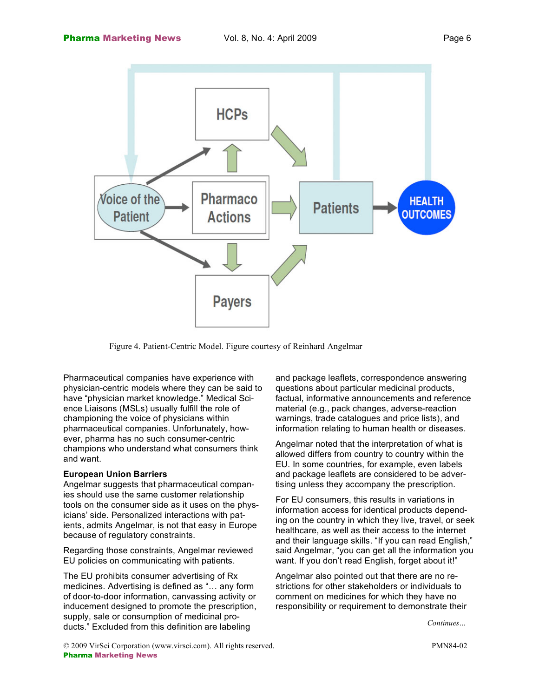

Figure 4. Patient-Centric Model. Figure courtesy of Reinhard Angelmar

Pharmaceutical companies have experience with physician-centric models where they can be said to have "physician market knowledge." Medical Science Liaisons (MSLs) usually fulfill the role of championing the voice of physicians within pharmaceutical companies. Unfortunately, however, pharma has no such consumer-centric champions who understand what consumers think and want.

### **European Union Barriers**

Angelmar suggests that pharmaceutical companies should use the same customer relationship tools on the consumer side as it uses on the physicians' side. Personalized interactions with patients, admits Angelmar, is not that easy in Europe because of regulatory constraints.

Regarding those constraints, Angelmar reviewed EU policies on communicating with patients.

The EU prohibits consumer advertising of Rx medicines. Advertising is defined as "… any form of door-to-door information, canvassing activity or inducement designed to promote the prescription, supply, sale or consumption of medicinal products." Excluded from this definition are labeling

and package leaflets, correspondence answering questions about particular medicinal products, factual, informative announcements and reference material (e.g., pack changes, adverse-reaction warnings, trade catalogues and price lists), and information relating to human health or diseases.

Angelmar noted that the interpretation of what is allowed differs from country to country within the EU. In some countries, for example, even labels and package leaflets are considered to be advertising unless they accompany the prescription.

For EU consumers, this results in variations in information access for identical products depending on the country in which they live, travel, or seek healthcare, as well as their access to the internet and their language skills. "If you can read English," said Angelmar, "you can get all the information you want. If you don't read English, forget about it!"

Angelmar also pointed out that there are no restrictions for other stakeholders or individuals to comment on medicines for which they have no responsibility or requirement to demonstrate their

*Continues…*